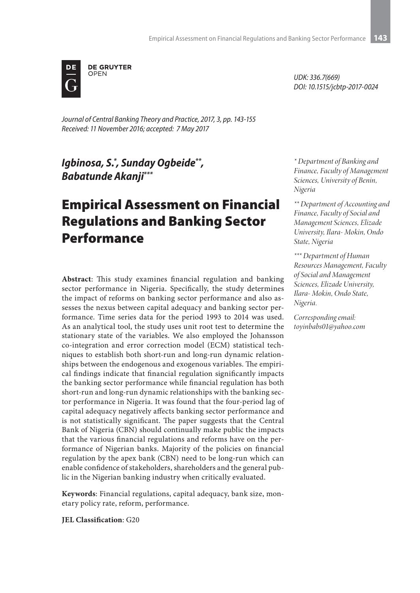

*Journal of Central Banking Theory and Practice, 2017, 3, pp. 143-155 Received: 11 November 2016; accepted: 7 May 2017*

*Igbinosa, S.\* , Sunday Ogbeide\*\*, Babatunde Akanji\*\*\**

# Empirical Assessment on Financial Regulations and Banking Sector Performance

**Abstract**: This study examines financial regulation and banking sector performance in Nigeria. Specifically, the study determines the impact of reforms on banking sector performance and also assesses the nexus between capital adequacy and banking sector performance. Time series data for the period 1993 to 2014 was used. As an analytical tool, the study uses unit root test to determine the stationary state of the variables. We also employed the Johansson co-integration and error correction model (ECM) statistical techniques to establish both short-run and long-run dynamic relationships between the endogenous and exogenous variables. The empirical findings indicate that financial regulation significantly impacts the banking sector performance while financial regulation has both short-run and long-run dynamic relationships with the banking sector performance in Nigeria. It was found that the four-period lag of capital adequacy negatively affects banking sector performance and is not statistically significant. The paper suggests that the Central Bank of Nigeria (CBN) should continually make public the impacts that the various financial regulations and reforms have on the performance of Nigerian banks. Majority of the policies on financial regulation by the apex bank (CBN) need to be long-run which can enable confidence of stakeholders, shareholders and the general public in the Nigerian banking industry when critically evaluated.

**Keywords**: Financial regulations, capital adequacy, bank size, monetary policy rate, reform, performance.

**JEL Classification**: G20

*UDK: 336.7(669) DOI: 10.1515/jcbtp-2017-0024*

*\* Department of Banking and Finance, Faculty of Management Sciences, University of Benin, Nigeria*

*\*\* Department of Accounting and Finance, Faculty of Social and Management Sciences, Elizade University, Ilara- Mokin, Ondo State, Nigeria*

*\*\*\* Department of Human Resources Management, Faculty of Social and Management Sciences, Elizade University, Ilara- Mokin, Ondo State, Nigeria.*

*Corresponding email: toyinbabs01@yahoo.com*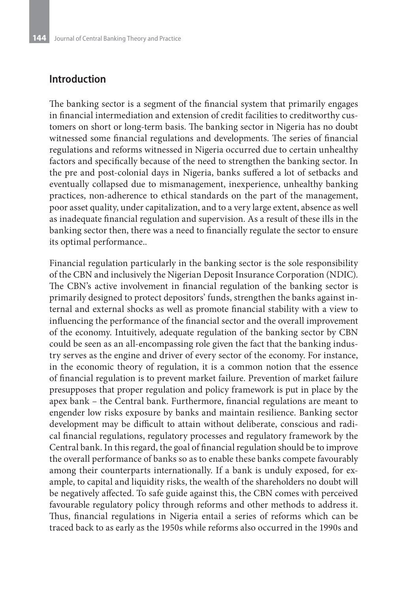### **Introduction**

The banking sector is a segment of the financial system that primarily engages in financial intermediation and extension of credit facilities to creditworthy customers on short or long-term basis. The banking sector in Nigeria has no doubt witnessed some financial regulations and developments. The series of financial regulations and reforms witnessed in Nigeria occurred due to certain unhealthy factors and specifically because of the need to strengthen the banking sector. In the pre and post-colonial days in Nigeria, banks suffered a lot of setbacks and eventually collapsed due to mismanagement, inexperience, unhealthy banking practices, non-adherence to ethical standards on the part of the management, poor asset quality, under capitalization, and to a very large extent, absence as well as inadequate financial regulation and supervision. As a result of these ills in the banking sector then, there was a need to financially regulate the sector to ensure its optimal performance..

Financial regulation particularly in the banking sector is the sole responsibility of the CBN and inclusively the Nigerian Deposit Insurance Corporation (NDIC). The CBN's active involvement in financial regulation of the banking sector is primarily designed to protect depositors' funds, strengthen the banks against internal and external shocks as well as promote financial stability with a view to influencing the performance of the financial sector and the overall improvement of the economy. Intuitively, adequate regulation of the banking sector by CBN could be seen as an all-encompassing role given the fact that the banking industry serves as the engine and driver of every sector of the economy. For instance, in the economic theory of regulation, it is a common notion that the essence of financial regulation is to prevent market failure. Prevention of market failure presupposes that proper regulation and policy framework is put in place by the apex bank – the Central bank. Furthermore, financial regulations are meant to engender low risks exposure by banks and maintain resilience. Banking sector development may be difficult to attain without deliberate, conscious and radical financial regulations, regulatory processes and regulatory framework by the Central bank. In this regard, the goal of financial regulation should be to improve the overall performance of banks so as to enable these banks compete favourably among their counterparts internationally. If a bank is unduly exposed, for example, to capital and liquidity risks, the wealth of the shareholders no doubt will be negatively affected. To safe guide against this, the CBN comes with perceived favourable regulatory policy through reforms and other methods to address it. Thus, financial regulations in Nigeria entail a series of reforms which can be traced back to as early as the 1950s while reforms also occurred in the 1990s and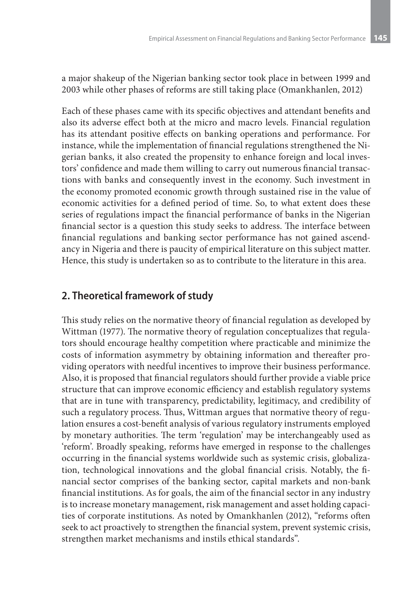a major shakeup of the Nigerian banking sector took place in between 1999 and 2003 while other phases of reforms are still taking place (Omankhanlen, 2012)

Each of these phases came with its specific objectives and attendant benefits and also its adverse effect both at the micro and macro levels. Financial regulation has its attendant positive effects on banking operations and performance. For instance, while the implementation of financial regulations strengthened the Nigerian banks, it also created the propensity to enhance foreign and local investors' confidence and made them willing to carry out numerous financial transactions with banks and consequently invest in the economy. Such investment in the economy promoted economic growth through sustained rise in the value of economic activities for a defined period of time. So, to what extent does these series of regulations impact the financial performance of banks in the Nigerian financial sector is a question this study seeks to address. The interface between financial regulations and banking sector performance has not gained ascendancy in Nigeria and there is paucity of empirical literature on this subject matter. Hence, this study is undertaken so as to contribute to the literature in this area.

### **2. Theoretical framework of study**

This study relies on the normative theory of financial regulation as developed by Wittman (1977). The normative theory of regulation conceptualizes that regulators should encourage healthy competition where practicable and minimize the costs of information asymmetry by obtaining information and thereafter providing operators with needful incentives to improve their business performance. Also, it is proposed that financial regulators should further provide a viable price structure that can improve economic efficiency and establish regulatory systems that are in tune with transparency, predictability, legitimacy, and credibility of such a regulatory process. Thus, Wittman argues that normative theory of regulation ensures a cost-benefit analysis of various regulatory instruments employed by monetary authorities. The term 'regulation' may be interchangeably used as 'reform'. Broadly speaking, reforms have emerged in response to the challenges occurring in the financial systems worldwide such as systemic crisis, globalization, technological innovations and the global financial crisis. Notably, the financial sector comprises of the banking sector, capital markets and non-bank financial institutions. As for goals, the aim of the financial sector in any industry is to increase monetary management, risk management and asset holding capacities of corporate institutions. As noted by Omankhanlen (2012), "reforms often seek to act proactively to strengthen the financial system, prevent systemic crisis, strengthen market mechanisms and instils ethical standards".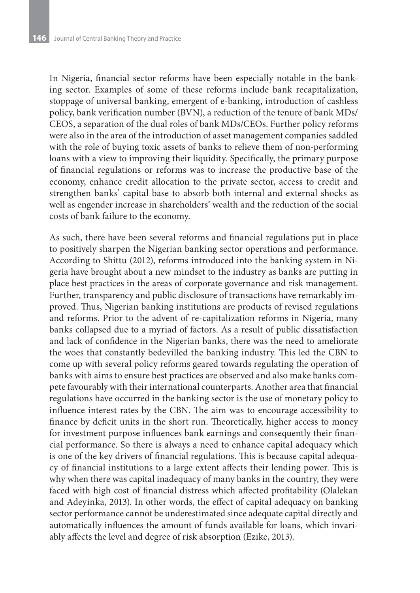In Nigeria, financial sector reforms have been especially notable in the banking sector. Examples of some of these reforms include bank recapitalization, stoppage of universal banking, emergent of e-banking, introduction of cashless policy, bank verification number (BVN), a reduction of the tenure of bank MDs/ CEOS, a separation of the dual roles of bank MDs/CEOs. Further policy reforms were also in the area of the introduction of asset management companies saddled with the role of buying toxic assets of banks to relieve them of non-performing loans with a view to improving their liquidity. Specifically, the primary purpose of financial regulations or reforms was to increase the productive base of the economy, enhance credit allocation to the private sector, access to credit and strengthen banks' capital base to absorb both internal and external shocks as well as engender increase in shareholders' wealth and the reduction of the social costs of bank failure to the economy.

As such, there have been several reforms and financial regulations put in place to positively sharpen the Nigerian banking sector operations and performance. According to Shittu (2012), reforms introduced into the banking system in Nigeria have brought about a new mindset to the industry as banks are putting in place best practices in the areas of corporate governance and risk management. Further, transparency and public disclosure of transactions have remarkably improved. Thus, Nigerian banking institutions are products of revised regulations and reforms. Prior to the advent of re-capitalization reforms in Nigeria, many banks collapsed due to a myriad of factors. As a result of public dissatisfaction and lack of confidence in the Nigerian banks, there was the need to ameliorate the woes that constantly bedevilled the banking industry. This led the CBN to come up with several policy reforms geared towards regulating the operation of banks with aims to ensure best practices are observed and also make banks compete favourably with their international counterparts. Another area that financial regulations have occurred in the banking sector is the use of monetary policy to influence interest rates by the CBN. The aim was to encourage accessibility to finance by deficit units in the short run. Theoretically, higher access to money for investment purpose influences bank earnings and consequently their financial performance. So there is always a need to enhance capital adequacy which is one of the key drivers of financial regulations. This is because capital adequacy of financial institutions to a large extent affects their lending power. This is why when there was capital inadequacy of many banks in the country, they were faced with high cost of financial distress which affected profitability (Olalekan and Adeyinka, 2013). In other words, the effect of capital adequacy on banking sector performance cannot be underestimated since adequate capital directly and automatically influences the amount of funds available for loans, which invariably affects the level and degree of risk absorption (Ezike, 2013).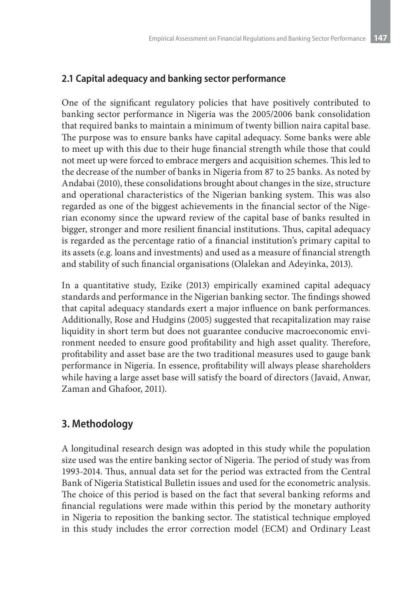### **2.1 Capital adequacy and banking sector performance**

One of the significant regulatory policies that have positively contributed to banking sector performance in Nigeria was the 2005/2006 bank consolidation that required banks to maintain a minimum of twenty billion naira capital base. The purpose was to ensure banks have capital adequacy. Some banks were able to meet up with this due to their huge financial strength while those that could not meet up were forced to embrace mergers and acquisition schemes. This led to the decrease of the number of banks in Nigeria from 87 to 25 banks. As noted by Andabai (2010), these consolidations brought about changes in the size, structure and operational characteristics of the Nigerian banking system. This was also regarded as one of the biggest achievements in the financial sector of the Nigerian economy since the upward review of the capital base of banks resulted in bigger, stronger and more resilient financial institutions. Thus, capital adequacy is regarded as the percentage ratio of a financial institution's primary capital to its assets (e.g. loans and investments) and used as a measure of financial strength and stability of such financial organisations (Olalekan and Adeyinka, 2013).

In a quantitative study, Ezike (2013) empirically examined capital adequacy standards and performance in the Nigerian banking sector. The findings showed that capital adequacy standards exert a major influence on bank performances. Additionally, Rose and Hudgins (2005) suggested that recapitalization may raise liquidity in short term but does not guarantee conducive macroeconomic environment needed to ensure good profitability and high asset quality. Therefore, profitability and asset base are the two traditional measures used to gauge bank performance in Nigeria. In essence, profitability will always please shareholders while having a large asset base will satisfy the board of directors (Javaid, Anwar, Zaman and Ghafoor, 2011).

## **3. Methodology**

A longitudinal research design was adopted in this study while the population size used was the entire banking sector of Nigeria. The period of study was from 1993-2014. Thus, annual data set for the period was extracted from the Central Bank of Nigeria Statistical Bulletin issues and used for the econometric analysis. The choice of this period is based on the fact that several banking reforms and financial regulations were made within this period by the monetary authority in Nigeria to reposition the banking sector. The statistical technique employed in this study includes the error correction model (ECM) and Ordinary Least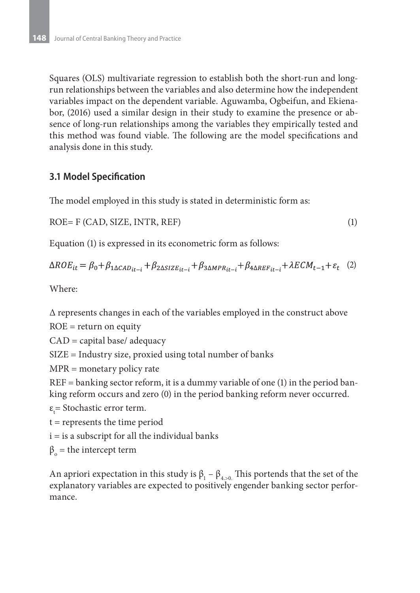Squares (OLS) multivariate regression to establish both the short-run and longrun relationships between the variables and also determine how the independent variables impact on the dependent variable. Aguwamba, Ogbeifun, and Ekienabor, (2016) used a similar design in their study to examine the presence or absence of long-run relationships among the variables they empirically tested and this method was found viable. The following are the model specifications and analysis done in this study.

### **3.1 Model Specification**

The model employed in this study is stated in deterministic form as:

ROE= F (CAD, SIZE, INTR, REF) (1)

Equation (1) is expressed in its econometric form as follows:

$$
\Delta ROE_{it} = \beta_0 + \beta_{1\Delta CAD_{it-i}} + \beta_{2\Delta SIZE_{it-i}} + \beta_{3\Delta MPR_{it-i}} + \beta_{4\Delta REF_{it-i}} + \lambda ECM_{t-1} + \varepsilon_t
$$
 (2)

Where:

Δ represents changes in each of the variables employed in the construct above

 $ROE = return on equity$ 

 $CAD = capital base/adequacy$ 

SIZE = Industry size, proxied using total number of banks

MPR = monetary policy rate

REF = banking sector reform, it is a dummy variable of one (1) in the period banking reform occurs and zero (0) in the period banking reform never occurred.

 $\varepsilon$ <sub>t</sub> = Stochastic error term.

 $t =$  represents the time period

 $i = i$ s a subscript for all the individual banks

 $\beta_{o}$  = the intercept term

An apriori expectation in this study is  $\beta_1 - \beta_{4,>0}$ . This portends that the set of the explanatory variables are expected to positively engender banking sector performance.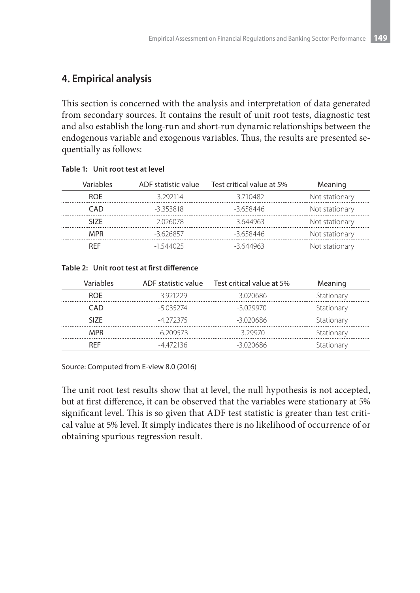# **4. Empirical analysis**

This section is concerned with the analysis and interpretation of data generated from secondary sources. It contains the result of unit root tests, diagnostic test and also establish the long-run and short-run dynamic relationships between the endogenous variable and exogenous variables. Thus, the results are presented sequentially as follows:

| Variables  | ADF statistic value | Test critical value at 5% | Meaning        |
|------------|---------------------|---------------------------|----------------|
| <b>ROF</b> | -3 292114           | -3 710482                 | Not stationary |
| CAD        | -3353818            | -3658446                  | Not stationary |
| SIZE.      | -2026078            | -3644963                  | Not stationary |
| <b>MPR</b> | -3626857            | -3 658446                 | Not stationary |
| RFF        | -1544025            | -3644963                  | Not stationary |

#### **Table 1: Unit root test at level**

#### **Table 2: Unit root test at first difference**

| Variables  | ADF statistic value | Test critical value at 5% | Meaning    |
|------------|---------------------|---------------------------|------------|
| ROF        | $-3921229$          | $-3.020686$               | Stationary |
| CAD        | $-5035274$          | $-3029970$                | Stationary |
| SIZE.      | -4 272375           | $-3.020686$               | Stationary |
| <b>MPR</b> | $-6209573$          | $-379970$                 | Stationary |
| RFF        | -4472136            | -3020686                  | Stationary |

Source: Computed from E-view 8.0 (2016)

The unit root test results show that at level, the null hypothesis is not accepted, but at first difference, it can be observed that the variables were stationary at 5% significant level. This is so given that ADF test statistic is greater than test critical value at 5% level. It simply indicates there is no likelihood of occurrence of or obtaining spurious regression result.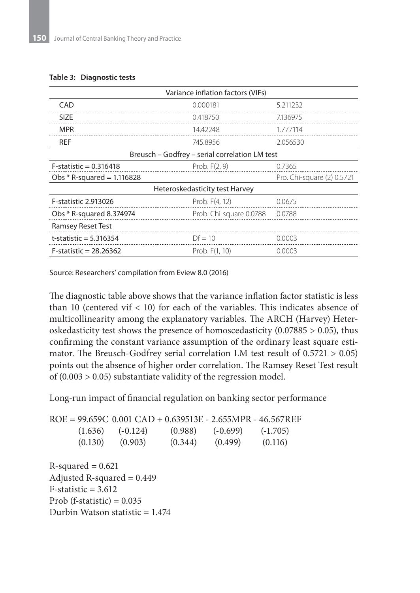| Variance inflation factors (VIFs)              |                                |                            |  |  |
|------------------------------------------------|--------------------------------|----------------------------|--|--|
| <b>CAD</b>                                     | 0.000181                       | 5.211232                   |  |  |
| <b>SIZE</b>                                    | 0.418750                       | 7.136975                   |  |  |
| <b>MPR</b>                                     | 14.42248                       | 1777114                    |  |  |
| <b>REF</b>                                     | 745.8956                       | 2.056530                   |  |  |
| Breusch - Godfrey - serial correlation LM test |                                |                            |  |  |
| $F-statistic = 0.316418$                       | Prob. $F(2, 9)$                | 0.7365                     |  |  |
| Obs $*$ R-squared = 1.116828                   |                                | Pro. Chi-square (2) 0.5721 |  |  |
|                                                | Heteroskedasticity test Harvey |                            |  |  |
| F-statistic 2.913026                           | Prob. F(4, 12)                 | 0.0675                     |  |  |
| Obs * R-squared 8.374974                       | Prob. Chi-square 0.0788        | 0.0788                     |  |  |
| <b>Ramsey Reset Test</b>                       |                                |                            |  |  |
| t-statistic $= 5.316354$                       | $Df = 10$                      | 0.0003                     |  |  |
| $F-statistic = 28.26362$                       | Prob. F(1, 10)                 | 0.0003                     |  |  |

#### **Table 3: Diagnostic tests**

Source: Researchers' compilation from Eview 8.0 (2016)

The diagnostic table above shows that the variance inflation factor statistic is less than 10 (centered vif  $< 10$ ) for each of the variables. This indicates absence of multicollinearity among the explanatory variables. The ARCH (Harvey) Heteroskedasticity test shows the presence of homoscedasticity (0.07885 > 0.05), thus confirming the constant variance assumption of the ordinary least square estimator. The Breusch-Godfrey serial correlation LM test result of 0.5721 > 0.05) points out the absence of higher order correlation. The Ramsey Reset Test result of (0.003 > 0.05) substantiate validity of the regression model.

Long-run impact of financial regulation on banking sector performance

ROE = 99.659C 0.001 CAD + 0.639513E - 2.655MPR - 46.567REF (1.636) (-0.124) (0.988) (-0.699) (-1.705) (0.130) (0.903) (0.344) (0.499) (0.116)  $R$ -squared = 0.621 Adjusted R-squared  $= 0.449$  $F-statistic = 3.612$ Prob (f-statistic) =  $0.035$ Durbin Watson statistic  $= 1.474$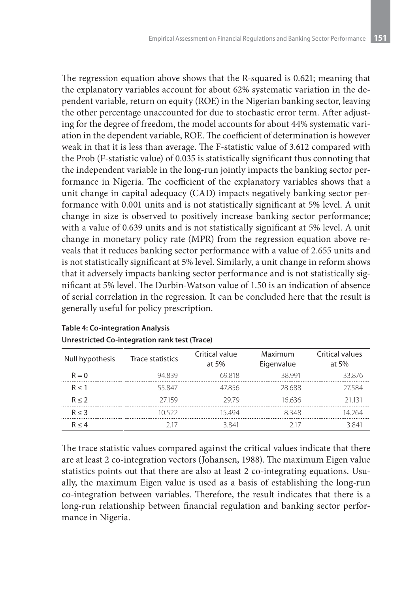The regression equation above shows that the R-squared is 0.621; meaning that the explanatory variables account for about 62% systematic variation in the dependent variable, return on equity (ROE) in the Nigerian banking sector, leaving the other percentage unaccounted for due to stochastic error term. After adjusting for the degree of freedom, the model accounts for about 44% systematic variation in the dependent variable, ROE. The coefficient of determination is however weak in that it is less than average. The F-statistic value of 3.612 compared with the Prob (F-statistic value) of 0.035 is statistically significant thus connoting that the independent variable in the long-run jointly impacts the banking sector performance in Nigeria. The coefficient of the explanatory variables shows that a unit change in capital adequacy (CAD) impacts negatively banking sector performance with 0.001 units and is not statistically significant at 5% level. A unit change in size is observed to positively increase banking sector performance; with a value of 0.639 units and is not statistically significant at 5% level. A unit change in monetary policy rate (MPR) from the regression equation above reveals that it reduces banking sector performance with a value of 2.655 units and is not statistically significant at 5% level. Similarly, a unit change in reform shows that it adversely impacts banking sector performance and is not statistically significant at 5% level. The Durbin-Watson value of 1.50 is an indication of absence of serial correlation in the regression. It can be concluded here that the result is generally useful for policy prescription.

| Null hypothesis | Trace statistics | Critical value<br>at 5% | Maximum<br>Eigenvalue | Critical values<br>at 5% |
|-----------------|------------------|-------------------------|-----------------------|--------------------------|
| $R = 0$         | 94839            | 69818                   | 38991                 | 33876                    |
| R < 1           | 55847            | 47856                   | 28.688                | 27584                    |
| R < 2           | 27159            | 2979                    | 16 636                | 21 1 3 1                 |
| R < 3           | 10 522           | 15 494                  | 8348                  | 14 264                   |
| R < 4           |                  | 3 841                   |                       | 3 841                    |

### **Table 4: Co-integration Analysis Unrestricted Co-integration rank test (Trace)**

The trace statistic values compared against the critical values indicate that there are at least 2 co-integration vectors (Johansen, 1988). The maximum Eigen value statistics points out that there are also at least 2 co-integrating equations. Usually, the maximum Eigen value is used as a basis of establishing the long-run co-integration between variables. Therefore, the result indicates that there is a long-run relationship between financial regulation and banking sector performance in Nigeria.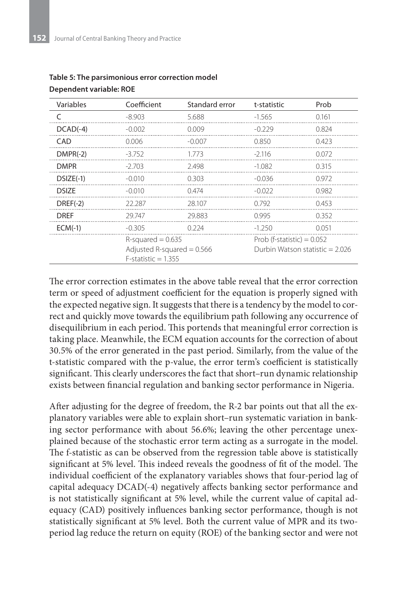| Variables    | Coefficient | Standard error                                         | t-statistic | Prob                              |  |
|--------------|-------------|--------------------------------------------------------|-------------|-----------------------------------|--|
| C            | $-8.903$    | 5.688                                                  | $-1.565$    | 0.161                             |  |
| $DCAD(-4)$   | $-0.002$    | 0.009                                                  | $-0.229$    | 0.824                             |  |
| CAD          | 0.006       | $-0.007$                                               | 0.850       | 0.423                             |  |
| $DMPR(-2)$   | $-3.752$    | 1.773                                                  | $-2.116$    | 0.072                             |  |
| <b>DMPR</b>  | $-2.703$    | 2.498                                                  | $-1.082$    | 0.315                             |  |
| $DSIZE(-1)$  | $-0.010$    | 0.303                                                  | $-0.036$    | 0.972                             |  |
| <b>DSIZE</b> | $-0.010$    | 0.474                                                  | $-0.022$    | 0.982                             |  |
| $DREF(-2)$   | 22.287      | 28.107                                                 | 0.792       | 0.453                             |  |
| <b>DREF</b>  | 29.747      | 29.883                                                 | 0.995       | 0.352                             |  |
| $ECM(-1)$    | $-0.305$    | 0.224                                                  | $-1.250$    | 0.051                             |  |
|              |             | $R$ -squared = 0.635                                   |             | Prob (f-statistic) = $0.052$      |  |
|              |             | Adjusted R-squared $= 0.566$<br>$F$ -statistic = 1.355 |             | Durbin Watson statistic $= 2.026$ |  |

**Table 5: The parsimonious error correction model Dependent variable: ROE**

The error correction estimates in the above table reveal that the error correction term or speed of adjustment coefficient for the equation is properly signed with the expected negative sign. It suggests that there is a tendency by the model to correct and quickly move towards the equilibrium path following any occurrence of disequilibrium in each period. This portends that meaningful error correction is taking place. Meanwhile, the ECM equation accounts for the correction of about 30.5% of the error generated in the past period. Similarly, from the value of the t-statistic compared with the p-value, the error term's coefficient is statistically significant. This clearly underscores the fact that short–run dynamic relationship exists between financial regulation and banking sector performance in Nigeria.

After adjusting for the degree of freedom, the R-2 bar points out that all the explanatory variables were able to explain short–run systematic variation in banking sector performance with about 56.6%; leaving the other percentage unexplained because of the stochastic error term acting as a surrogate in the model. The f-statistic as can be observed from the regression table above is statistically significant at 5% level. This indeed reveals the goodness of fit of the model. The individual coefficient of the explanatory variables shows that four-period lag of capital adequacy DCAD(-4) negatively affects banking sector performance and is not statistically significant at 5% level, while the current value of capital adequacy (CAD) positively influences banking sector performance, though is not statistically significant at 5% level. Both the current value of MPR and its twoperiod lag reduce the return on equity (ROE) of the banking sector and were not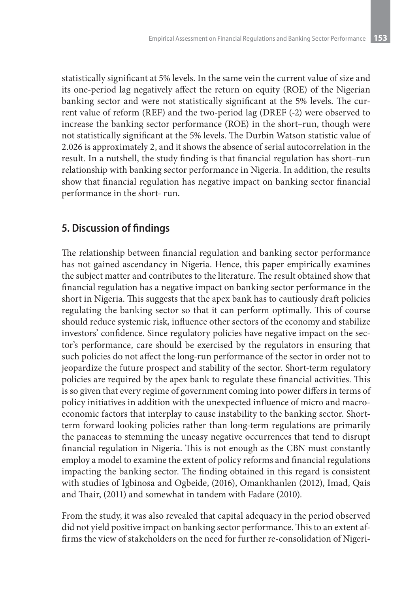statistically significant at 5% levels. In the same vein the current value of size and its one-period lag negatively affect the return on equity (ROE) of the Nigerian banking sector and were not statistically significant at the 5% levels. The current value of reform (REF) and the two-period lag (DREF (-2) were observed to increase the banking sector performance (ROE) in the short–run, though were not statistically significant at the 5% levels. The Durbin Watson statistic value of 2.026 is approximately 2, and it shows the absence of serial autocorrelation in the result. In a nutshell, the study finding is that financial regulation has short–run relationship with banking sector performance in Nigeria. In addition, the results show that financial regulation has negative impact on banking sector financial performance in the short- run.

### **5. Discussion of findings**

The relationship between financial regulation and banking sector performance has not gained ascendancy in Nigeria. Hence, this paper empirically examines the subject matter and contributes to the literature. The result obtained show that financial regulation has a negative impact on banking sector performance in the short in Nigeria. This suggests that the apex bank has to cautiously draft policies regulating the banking sector so that it can perform optimally. This of course should reduce systemic risk, influence other sectors of the economy and stabilize investors' confidence. Since regulatory policies have negative impact on the sector's performance, care should be exercised by the regulators in ensuring that such policies do not affect the long-run performance of the sector in order not to jeopardize the future prospect and stability of the sector. Short-term regulatory policies are required by the apex bank to regulate these financial activities. This is so given that every regime of government coming into power differs in terms of policy initiatives in addition with the unexpected influence of micro and macroeconomic factors that interplay to cause instability to the banking sector. Shortterm forward looking policies rather than long-term regulations are primarily the panaceas to stemming the uneasy negative occurrences that tend to disrupt financial regulation in Nigeria. This is not enough as the CBN must constantly employ a model to examine the extent of policy reforms and financial regulations impacting the banking sector. The finding obtained in this regard is consistent with studies of Igbinosa and Ogbeide, (2016), Omankhanlen (2012), Imad, Qais and Thair, (2011) and somewhat in tandem with Fadare (2010).

From the study, it was also revealed that capital adequacy in the period observed did not yield positive impact on banking sector performance. This to an extent affirms the view of stakeholders on the need for further re-consolidation of Nigeri-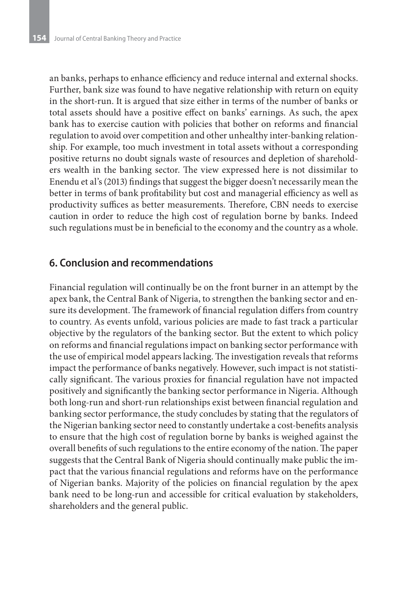an banks, perhaps to enhance efficiency and reduce internal and external shocks. Further, bank size was found to have negative relationship with return on equity in the short-run. It is argued that size either in terms of the number of banks or total assets should have a positive effect on banks' earnings. As such, the apex bank has to exercise caution with policies that bother on reforms and financial regulation to avoid over competition and other unhealthy inter-banking relationship. For example, too much investment in total assets without a corresponding positive returns no doubt signals waste of resources and depletion of shareholders wealth in the banking sector. The view expressed here is not dissimilar to Enendu et al's (2013) findings that suggest the bigger doesn't necessarily mean the better in terms of bank profitability but cost and managerial efficiency as well as productivity suffices as better measurements. Therefore, CBN needs to exercise caution in order to reduce the high cost of regulation borne by banks. Indeed such regulations must be in beneficial to the economy and the country as a whole.

### **6. Conclusion and recommendations**

Financial regulation will continually be on the front burner in an attempt by the apex bank, the Central Bank of Nigeria, to strengthen the banking sector and ensure its development. The framework of financial regulation differs from country to country. As events unfold, various policies are made to fast track a particular objective by the regulators of the banking sector. But the extent to which policy on reforms and financial regulations impact on banking sector performance with the use of empirical model appears lacking. The investigation reveals that reforms impact the performance of banks negatively. However, such impact is not statistically significant. The various proxies for financial regulation have not impacted positively and significantly the banking sector performance in Nigeria. Although both long-run and short-run relationships exist between financial regulation and banking sector performance, the study concludes by stating that the regulators of the Nigerian banking sector need to constantly undertake a cost-benefits analysis to ensure that the high cost of regulation borne by banks is weighed against the overall benefits of such regulations to the entire economy of the nation. The paper suggests that the Central Bank of Nigeria should continually make public the impact that the various financial regulations and reforms have on the performance of Nigerian banks. Majority of the policies on financial regulation by the apex bank need to be long-run and accessible for critical evaluation by stakeholders, shareholders and the general public.